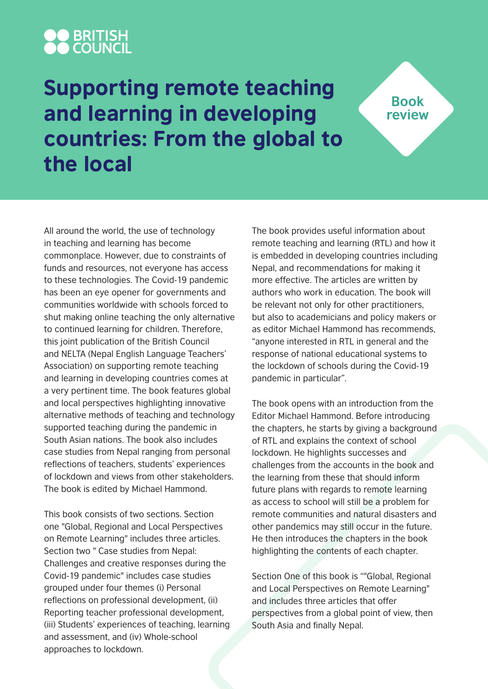# **OO BRITISH<br>AA COUNCIL**

## Supporting remote teaching and learning in developing countries: From the global to the local

All around the world, the use of technology in teaching and learning has become commonplace. However, due to constraints of funds and resources, not everyone has access to these technologies. The Covid-19 pandemic has been an eye opener for governments and communities worldwide with schools forced to shut making online teaching the only alternative to continued learning for children. Therefore, this joint publication of the British Council and NELTA (Nepal English Language Teachers' Association) on supporting remote teaching and learning in developing countries comes at a very pertinent time. The book features global and local perspectives highlighting innovative alternative methods of teaching and technology supported teaching during the pandemic in South Asian nations. The book also includes case studies from Nepal ranging from personal reflections of teachers, students' experiences of lockdown and views from other stakeholders. The book is edited by Michael Hammond.

This book consists of two sections. Section one "Global, Regional and Local Perspectives on Remote Learning" includes three articles. Section two " Case studies from Nepal: Challenges and creative responses during the Covid-19 pandemic" includes case studies grouped under four themes (i) Personal reflections on professional development, (ii) Reporting teacher professional development, (iii) Students' experiences of teaching, learning and assessment, and (iv) Whole-school approaches to lockdown.

The book provides useful information about remote teaching and learning (RTL) and how it is embedded in developing countries including Nepal, and recommendations for making it more effective. The articles are written by authors who work in education. The book will be relevant not only for other practitioners, but also to academicians and policy makers or as editor Michael Hammond has recommends, "anyone interested in RTL in general and the response of national educational systems to the lockdown of schools during the Covid-19 pandemic in particular".

**Book review**

The book opens with an introduction from the Editor Michael Hammond. Before introducing the chapters, he starts by giving a background of RTL and explains the context of school lockdown. He highlights successes and challenges from the accounts in the book and the learning from these that should inform future plans with regards to remote learning as access to school will still be a problem for remote communities and natural disasters and other pandemics may still occur in the future. He then introduces the chapters in the book highlighting the contents of each chapter.

Section One of this book is ""Global, Regional and Local Perspectives on Remote Learning" and includes three articles that offer perspectives from a global point of view, then South Asia and finally Nepal.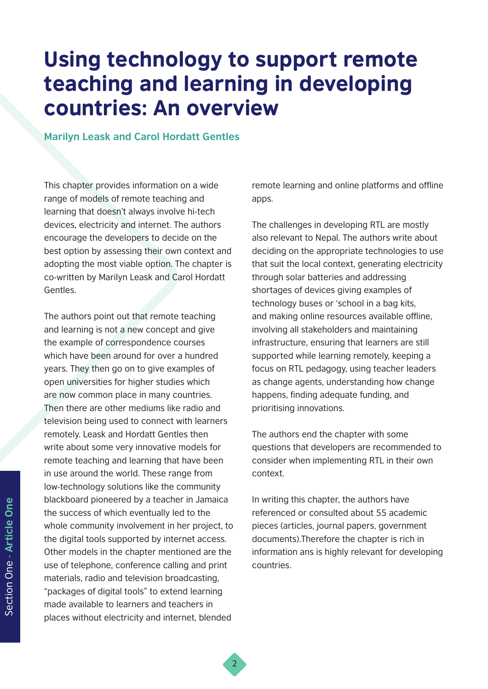## Using technology to support remote teaching and learning in developing countries: An overview

2

#### **Marilyn Leask and Carol Hordatt Gentles**

This chapter provides information on a wide range of models of remote teaching and learning that doesn't always involve hi-tech devices, electricity and internet. The authors encourage the developers to decide on the best option by assessing their own context and adopting the most viable option. The chapter is co-written by Marilyn Leask and Carol Hordatt Gentles.

The authors point out that remote teaching and learning is not a new concept and give the example of correspondence courses which have been around for over a hundred years. They then go on to give examples of open universities for higher studies which are now common place in many countries. Then there are other mediums like radio and television being used to connect with learners remotely. Leask and Hordatt Gentles then write about some very innovative models for remote teaching and learning that have been in use around the world. These range from low-technology solutions like the community blackboard pioneered by a teacher in Jamaica the success of which eventually led to the whole community involvement in her project, to the digital tools supported by internet access. Other models in the chapter mentioned are the use of telephone, conference calling and print materials, radio and television broadcasting, "packages of digital tools" to extend learning made available to learners and teachers in places without electricity and internet, blended

remote learning and online platforms and offline apps.

The challenges in developing RTL are mostly also relevant to Nepal. The authors write about deciding on the appropriate technologies to use that suit the local context, generating electricity through solar batteries and addressing shortages of devices giving examples of technology buses or 'school in a bag kits, and making online resources available offline, involving all stakeholders and maintaining infrastructure, ensuring that learners are still supported while learning remotely, keeping a focus on RTL pedagogy, using teacher leaders as change agents, understanding how change happens, finding adequate funding, and prioritising innovations.

The authors end the chapter with some questions that developers are recommended to consider when implementing RTL in their own context.

In writing this chapter, the authors have referenced or consulted about 55 academic pieces (articles, journal papers, government documents).Therefore the chapter is rich in information ans is highly relevant for developing countries.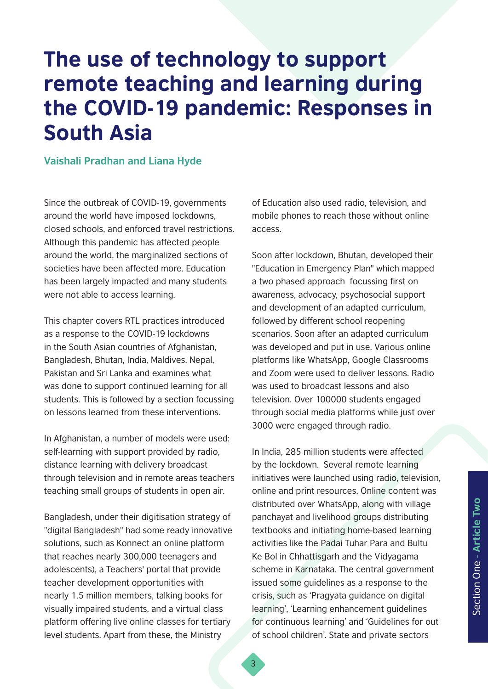## The use of technology to support remote teaching and learning during the COVID-19 pandemic: Responses in South Asia

#### **Vaishali Pradhan and Liana Hyde**

Since the outbreak of COVID-19, governments around the world have imposed lockdowns, closed schools, and enforced travel restrictions. Although this pandemic has affected people around the world, the marginalized sections of societies have been affected more. Education has been largely impacted and many students were not able to access learning.

This chapter covers RTL practices introduced as a response to the COVID-19 lockdowns in the South Asian countries of Afghanistan, Bangladesh, Bhutan, India, Maldives, Nepal, Pakistan and Sri Lanka and examines what was done to support continued learning for all students. This is followed by a section focussing on lessons learned from these interventions.

In Afghanistan, a number of models were used: self-learning with support provided by radio, distance learning with delivery broadcast through television and in remote areas teachers teaching small groups of students in open air.

Bangladesh, under their digitisation strategy of "digital Bangladesh" had some ready innovative solutions, such as Konnect an online platform that reaches nearly 300,000 teenagers and adolescents), a Teachers' portal that provide teacher development opportunities with nearly 1.5 million members, talking books for visually impaired students, and a virtual class platform offering live online classes for tertiary level students. Apart from these, the Ministry

of Education also used radio, television, and mobile phones to reach those without online access.

Soon after lockdown, Bhutan, developed their "Education in Emergency Plan" which mapped a two phased approach focussing first on awareness, advocacy, psychosocial support and development of an adapted curriculum, followed by different school reopening scenarios. Soon after an adapted curriculum was developed and put in use. Various online platforms like WhatsApp, Google Classrooms and Zoom were used to deliver lessons. Radio was used to broadcast lessons and also television. Over 100000 students engaged through social media platforms while just over 3000 were engaged through radio.

In India, 285 million students were affected by the lockdown. Several remote learning initiatives were launched using radio, television, online and print resources. Online content was distributed over WhatsApp, along with village panchayat and livelihood groups distributing textbooks and initiating home-based learning activities like the Padai Tuhar Para and Bultu Ke Bol in Chhattisgarh and the Vidyagama scheme in Karnataka. The central government issued some guidelines as a response to the crisis, such as 'Pragyata guidance on digital learning', 'Learning enhancement guidelines for continuous learning' and 'Guidelines for out of school children'. State and private sectors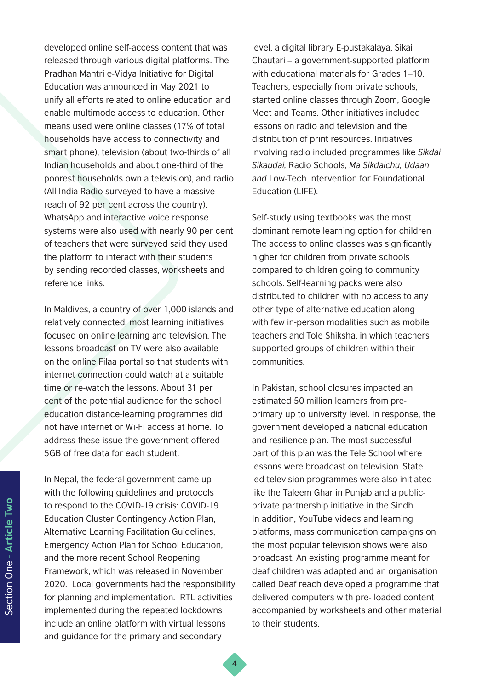developed online self-access content that was released through various digital platforms. The Pradhan Mantri e-Vidya Initiative for Digital Education was announced in May 2021 to unify all efforts related to online education and enable multimode access to education. Other means used were online classes (17% of total households have access to connectivity and smart phone), television (about two-thirds of all Indian households and about one-third of the poorest households own a television), and radio (All India Radio surveyed to have a massive reach of 92 per cent across the country). WhatsApp and interactive voice response systems were also used with nearly 90 per cent of teachers that were surveyed said they used the platform to interact with their students by sending recorded classes, worksheets and reference links.

In Maldives, a country of over 1,000 islands and relatively connected, most learning initiatives focused on online learning and television. The lessons broadcast on TV were also available on the online Filaa portal so that students with internet connection could watch at a suitable time or re-watch the lessons. About 31 per cent of the potential audience for the school education distance-learning programmes did not have internet or Wi-Fi access at home. To address these issue the government offered 5GB of free data for each student.

In Nepal, the federal government came up with the following guidelines and protocols to respond to the COVID-19 crisis: COVID-19 Education Cluster Contingency Action Plan, Alternative Learning Facilitation Guidelines, Emergency Action Plan for School Education, and the more recent School Reopening Framework, which was released in November 2020. Local governments had the responsibility for planning and implementation. RTL activities implemented during the repeated lockdowns include an online platform with virtual lessons and guidance for the primary and secondary

level, a digital library E-pustakalaya, Sikai Chautari – a government-supported platform with educational materials for Grades 1–10. Teachers, especially from private schools, started online classes through Zoom, Google Meet and Teams. Other initiatives included lessons on radio and television and the distribution of print resources. Initiatives involving radio included programmes like *Sikdai Sikaudai,* Radio Schools, *Ma Sikdaichu, Udaan and* Low-Tech Intervention for Foundational Education (LIFE).

Self-study using textbooks was the most dominant remote learning option for children The access to online classes was significantly higher for children from private schools compared to children going to community schools. Self-learning packs were also distributed to children with no access to any other type of alternative education along with few in-person modalities such as mobile teachers and Tole Shiksha, in which teachers supported groups of children within their communities.

In Pakistan, school closures impacted an estimated 50 million learners from preprimary up to university level. In response, the government developed a national education and resilience plan. The most successful part of this plan was the Tele School where lessons were broadcast on television. State led television programmes were also initiated like the Taleem Ghar in Punjab and a publicprivate partnership initiative in the Sindh. In addition, YouTube videos and learning platforms, mass communication campaigns on the most popular television shows were also broadcast. An existing programme meant for deaf children was adapted and an organisation called Deaf reach developed a programme that delivered computers with pre- loaded content accompanied by worksheets and other material to their students.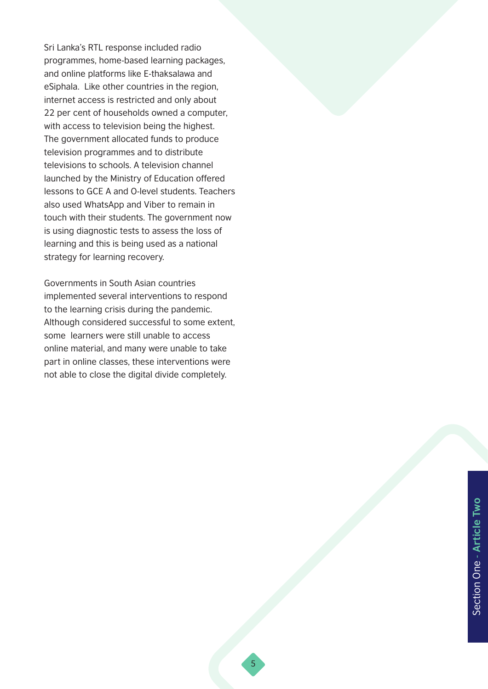Sri Lanka's RTL response included radio programmes, home-based learning packages, and online platforms like E-thaksalawa and eSiphala. Like other countries in the region, internet access is restricted and only about 22 per cent of households owned a computer, with access to television being the highest. The government allocated funds to produce television programmes and to distribute televisions to schools. A television channel launched by the Ministry of Education offered lessons to GCE A and O-level students. Teachers also used WhatsApp and Viber to remain in touch with their students. The government now is using diagnostic tests to assess the loss of learning and this is being used as a national strategy for learning recovery.

Governments in South Asian countries implemented several interventions to respond to the learning crisis during the pandemic. Although considered successful to some extent, some learners were still unable to access online material, and many were unable to take part in online classes, these interventions were not able to close the digital divide completely.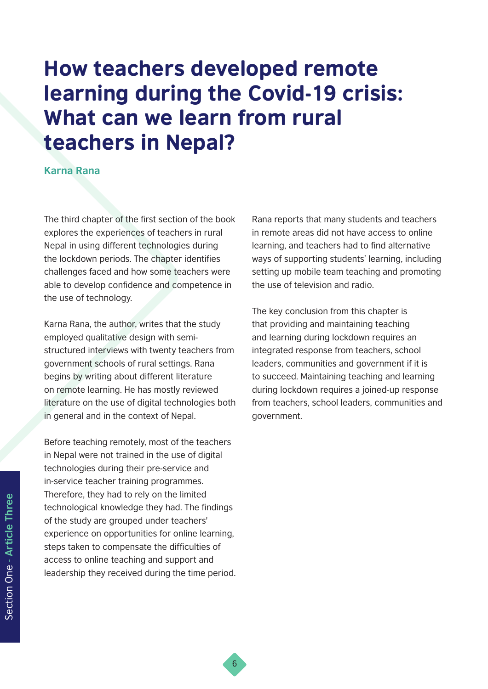## How teachers developed remote learning during the Covid-19 crisis: What can we learn from rural teachers in Nepal?

#### **Karna Rana**

The third chapter of the first section of the book explores the experiences of teachers in rural Nepal in using different technologies during the lockdown periods. The chapter identifies challenges faced and how some teachers were able to develop confidence and competence in the use of technology.

Karna Rana, the author, writes that the study employed qualitative design with semistructured interviews with twenty teachers from government schools of rural settings. Rana begins by writing about different literature on remote learning. He has mostly reviewed literature on the use of digital technologies both in general and in the context of Nepal.

Before teaching remotely, most of the teachers in Nepal were not trained in the use of digital technologies during their pre-service and in-service teacher training programmes. Therefore, they had to rely on the limited technological knowledge they had. The findings of the study are grouped under teachers' experience on opportunities for online learning, steps taken to compensate the difficulties of access to online teaching and support and leadership they received during the time period. Rana reports that many students and teachers in remote areas did not have access to online learning, and teachers had to find alternative ways of supporting students' learning, including setting up mobile team teaching and promoting the use of television and radio.

The key conclusion from this chapter is that providing and maintaining teaching and learning during lockdown requires an integrated response from teachers, school leaders, communities and government if it is to succeed. Maintaining teaching and learning during lockdown requires a joined-up response from teachers, school leaders, communities and government.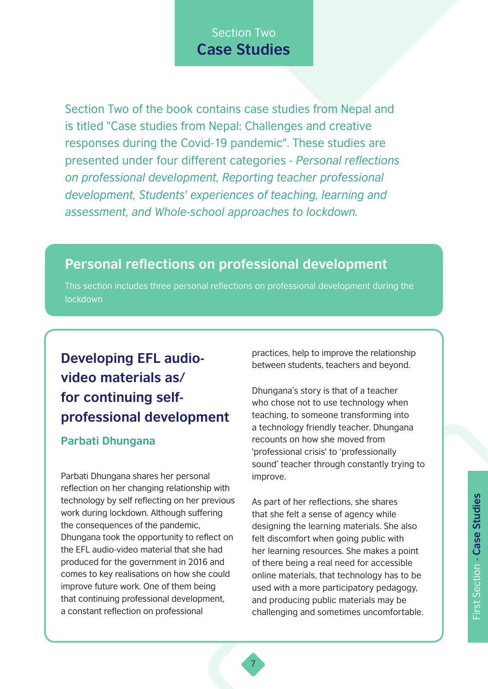### Section Two **Case Studies**

Section Two of the book contains case studies from Nepal and is titled "Case studies from Nepal: Challenges and creative responses during the Covid-19 pandemic". These studies are presented under four different categories - *Personal reflections on professional development, Reporting teacher professional development, Students' experiences of teaching, learning and assessment, and Whole-school approaches to lockdown.* 

### **Personal reflections on professional development**

This section includes three personal reflections on professional development during the lockdown

### **Developing EFL audiovideo materials as/ for continuing selfprofessional development**

#### **Parbati Dhungana**

Parbati Dhungana shares her personal reflection on her changing relationship with technology by self reflecting on her previous work during lockdown. Although suffering the consequences of the pandemic, Dhungana took the opportunity to reflect on the EFL audio-video material that she had produced for the government in 2016 and comes to key realisations on how she could improve future work. One of them being that continuing professional development, a constant reflection on professional

practices, help to improve the relationship between students, teachers and beyond.

Dhungana's story is that of a teacher who chose not to use technology when teaching, to someone transforming into a technology friendly teacher. Dhungana recounts on how she moved from 'professional crisis' to 'professionally sound' teacher through constantly trying to improve.

As part of her reflections, she shares that she felt a sense of agency while designing the learning materials. She also felt discomfort when going public with her learning resources. She makes a point of there being a real need for accessible online materials, that technology has to be used with a more participatory pedagogy, and producing public materials may be challenging and sometimes uncomfortable.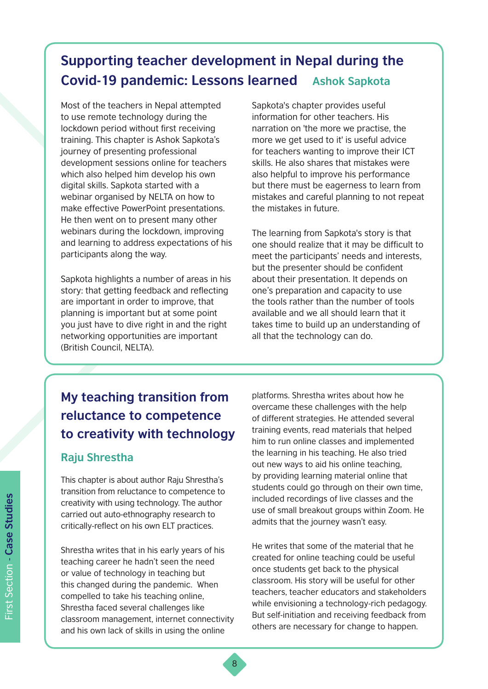### **Supporting teacher development in Nepal during the Covid-19 pandemic: Lessons learned Ashok Sapkota**

Most of the teachers in Nepal attempted to use remote technology during the lockdown period without first receiving training. This chapter is Ashok Sapkota's journey of presenting professional development sessions online for teachers which also helped him develop his own digital skills. Sapkota started with a webinar organised by NELTA on how to make effective PowerPoint presentations. He then went on to present many other webinars during the lockdown, improving and learning to address expectations of his participants along the way.

Sapkota highlights a number of areas in his story: that getting feedback and reflecting are important in order to improve, that planning is important but at some point you just have to dive right in and the right networking opportunities are important (British Council, NELTA).

Sapkota's chapter provides useful information for other teachers. His narration on 'the more we practise, the more we get used to it' is useful advice for teachers wanting to improve their ICT skills. He also shares that mistakes were also helpful to improve his performance but there must be eagerness to learn from mistakes and careful planning to not repeat the mistakes in future.

The learning from Sapkota's story is that one should realize that it may be difficult to meet the participants' needs and interests, but the presenter should be confident about their presentation. It depends on one's preparation and capacity to use the tools rather than the number of tools available and we all should learn that it takes time to build up an understanding of all that the technology can do.

### **My teaching transition from reluctance to competence to creativity with technology**

#### **Raju Shrestha**

This chapter is about author Raju Shrestha's transition from reluctance to competence to creativity with using technology. The author carried out auto-ethnography research to critically-reflect on his own ELT practices.

Shrestha writes that in his early years of his teaching career he hadn't seen the need or value of technology in teaching but this changed during the pandemic. When compelled to take his teaching online, Shrestha faced several challenges like classroom management, internet connectivity and his own lack of skills in using the online

platforms. Shrestha writes about how he overcame these challenges with the help of different strategies. He attended several training events, read materials that helped him to run online classes and implemented the learning in his teaching. He also tried out new ways to aid his online teaching, by providing learning material online that students could go through on their own time, included recordings of live classes and the use of small breakout groups within Zoom. He admits that the journey wasn't easy.

He writes that some of the material that he created for online teaching could be useful once students get back to the physical classroom. His story will be useful for other teachers, teacher educators and stakeholders while envisioning a technology-rich pedagogy. But self-initiation and receiving feedback from others are necessary for change to happen.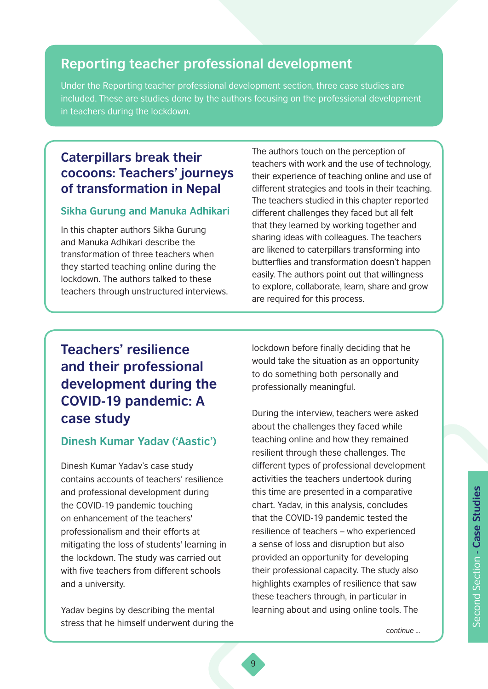### **Reporting teacher professional development**

Under the Reporting teacher professional development section, three case studies are included. These are studies done by the authors focusing on the professional development in teachers during the lockdown.

### **Caterpillars break their cocoons: Teachers' journeys of transformation in Nepal**

#### **Sikha Gurung and Manuka Adhikari**

In this chapter authors Sikha Gurung and Manuka Adhikari describe the transformation of three teachers when they started teaching online during the lockdown. The authors talked to these teachers through unstructured interviews. The authors touch on the perception of teachers with work and the use of technology, their experience of teaching online and use of different strategies and tools in their teaching. The teachers studied in this chapter reported different challenges they faced but all felt that they learned by working together and sharing ideas with colleagues. The teachers are likened to caterpillars transforming into butterflies and transformation doesn't happen easily. The authors point out that willingness to explore, collaborate, learn, share and grow are required for this process.

### **Teachers' resilience and their professional development during the COVID-19 pandemic: A case study**

#### **Dinesh Kumar Yadav ('Aastic')**

Dinesh Kumar Yadav's case study contains accounts of teachers' resilience and professional development during the COVID-19 pandemic touching on enhancement of the teachers' professionalism and their efforts at mitigating the loss of students' learning in the lockdown. The study was carried out with five teachers from different schools and a university.

Yadav begins by describing the mental stress that he himself underwent during the lockdown before finally deciding that he would take the situation as an opportunity to do something both personally and professionally meaningful.

During the interview, teachers were asked about the challenges they faced while teaching online and how they remained resilient through these challenges. The different types of professional development activities the teachers undertook during this time are presented in a comparative chart. Yadav, in this analysis, concludes that the COVID-19 pandemic tested the resilience of teachers – who experienced a sense of loss and disruption but also provided an opportunity for developing their professional capacity. The study also highlights examples of resilience that saw these teachers through, in particular in learning about and using online tools. The

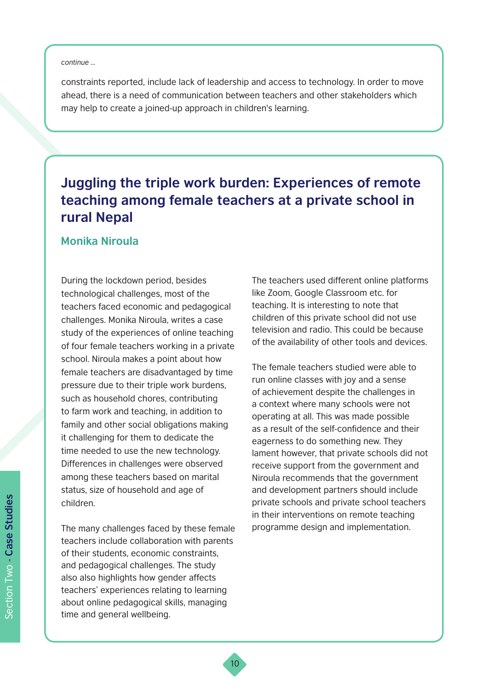#### *continue ...*

constraints reported, include lack of leadership and access to technology. In order to move ahead, there is a need of communication between teachers and other stakeholders which may help to create a joined-up approach in children's learning.

### **Juggling the triple work burden: Experiences of remote teaching among female teachers at a private school in rural Nepal**

10

#### **Monika Niroula**

During the lockdown period, besides technological challenges, most of the teachers faced economic and pedagogical challenges. Monika Niroula, writes a case study of the experiences of online teaching of four female teachers working in a private school. Niroula makes a point about how female teachers are disadvantaged by time pressure due to their triple work burdens, such as household chores, contributing to farm work and teaching, in addition to family and other social obligations making it challenging for them to dedicate the time needed to use the new technology. Differences in challenges were observed among these teachers based on marital status, size of household and age of children.

The many challenges faced by these female teachers include collaboration with parents of their students, economic constraints, and pedagogical challenges. The study also also highlights how gender affects teachers' experiences relating to learning about online pedagogical skills, managing time and general wellbeing.

The teachers used different online platforms like Zoom, Google Classroom etc. for teaching. It is interesting to note that children of this private school did not use television and radio. This could be because of the availability of other tools and devices.

The female teachers studied were able to run online classes with joy and a sense of achievement despite the challenges in a context where many schools were not operating at all. This was made possible as a result of the self-confidence and their eagerness to do something new. They lament however, that private schools did not receive support from the government and Niroula recommends that the government and development partners should include private schools and private school teachers in their interventions on remote teaching programme design and implementation.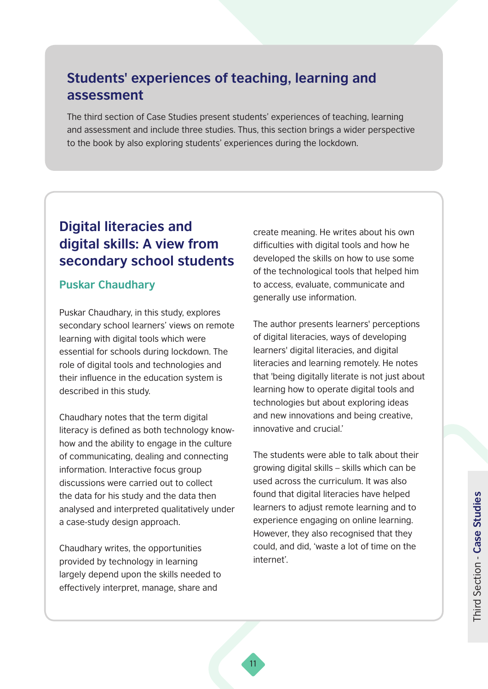### **Students' experiences of teaching, learning and assessment**

The third section of Case Studies present students' experiences of teaching, learning and assessment and include three studies. Thus, this section brings a wider perspective to the book by also exploring students' experiences during the lockdown.

### **Digital literacies and digital skills: A view from secondary school students**

#### **Puskar Chaudhary**

Puskar Chaudhary, in this study, explores secondary school learners' views on remote learning with digital tools which were essential for schools during lockdown. The role of digital tools and technologies and their influence in the education system is described in this study.

Chaudhary notes that the term digital literacy is defined as both technology knowhow and the ability to engage in the culture of communicating, dealing and connecting information. Interactive focus group discussions were carried out to collect the data for his study and the data then analysed and interpreted qualitatively under a case-study design approach.

Chaudhary writes, the opportunities provided by technology in learning largely depend upon the skills needed to effectively interpret, manage, share and

create meaning. He writes about his own difficulties with digital tools and how he developed the skills on how to use some of the technological tools that helped him to access, evaluate, communicate and generally use information.

The author presents learners' perceptions of digital literacies, ways of developing learners' digital literacies, and digital literacies and learning remotely. He notes that 'being digitally literate is not just about learning how to operate digital tools and technologies but about exploring ideas and new innovations and being creative, innovative and crucial.'

The students were able to talk about their growing digital skills – skills which can be used across the curriculum. It was also found that digital literacies have helped learners to adjust remote learning and to experience engaging on online learning. However, they also recognised that they could, and did, 'waste a lot of time on the internet'.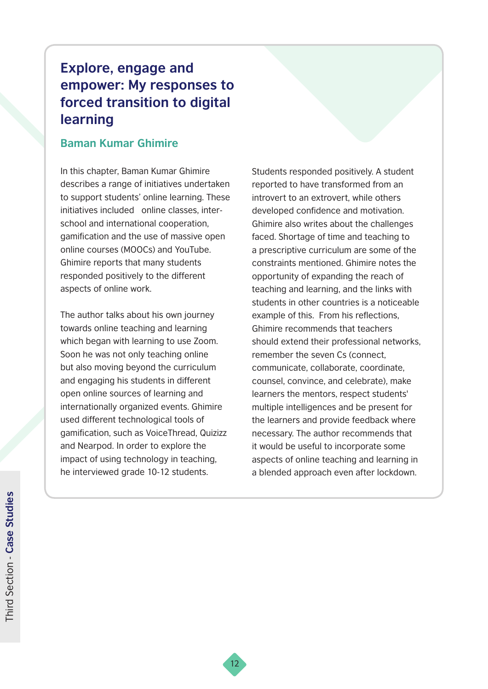### **Explore, engage and empower: My responses to forced transition to digital learning**

#### **Baman Kumar Ghimire**

In this chapter, Baman Kumar Ghimire describes a range of initiatives undertaken to support students' online learning. These initiatives included online classes, interschool and international cooperation, gamification and the use of massive open online courses (MOOCs) and YouTube. Ghimire reports that many students responded positively to the different aspects of online work.

The author talks about his own journey towards online teaching and learning which began with learning to use Zoom. Soon he was not only teaching online but also moving beyond the curriculum and engaging his students in different open online sources of learning and internationally organized events. Ghimire used different technological tools of gamification, such as VoiceThread, Quizizz and Nearpod. In order to explore the impact of using technology in teaching, he interviewed grade 10-12 students.

Students responded positively. A student reported to have transformed from an introvert to an extrovert, while others developed confidence and motivation. Ghimire also writes about the challenges faced. Shortage of time and teaching to a prescriptive curriculum are some of the constraints mentioned. Ghimire notes the opportunity of expanding the reach of teaching and learning, and the links with students in other countries is a noticeable example of this. From his reflections, Ghimire recommends that teachers should extend their professional networks, remember the seven Cs (connect, communicate, collaborate, coordinate, counsel, convince, and celebrate), make learners the mentors, respect students' multiple intelligences and be present for the learners and provide feedback where necessary. The author recommends that it would be useful to incorporate some aspects of online teaching and learning in a blended approach even after lockdown.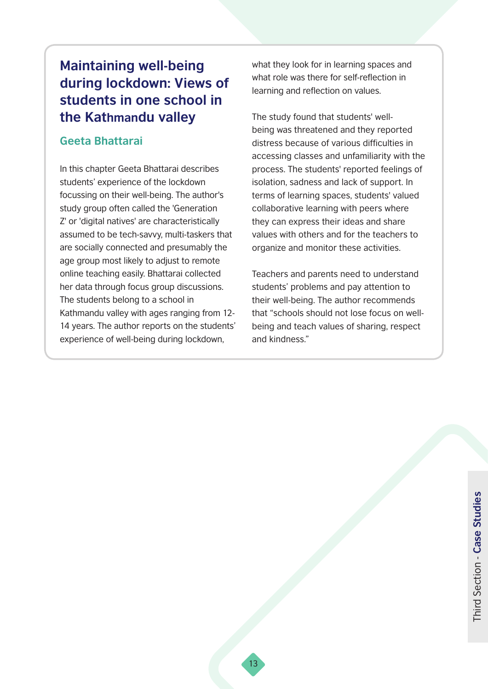### **Maintaining well-being during lockdown: Views of students in one school in the Kathmandu valley**

#### **Geeta Bhattarai**

In this chapter Geeta Bhattarai describes students' experience of the lockdown focussing on their well-being. The author's study group often called the 'Generation Z' or 'digital natives' are characteristically assumed to be tech-savvy, multi-taskers that are socially connected and presumably the age group most likely to adjust to remote online teaching easily. Bhattarai collected her data through focus group discussions. The students belong to a school in Kathmandu valley with ages ranging from 12- 14 years. The author reports on the students' experience of well-being during lockdown,

what they look for in learning spaces and what role was there for self-reflection in learning and reflection on values.

The study found that students' wellbeing was threatened and they reported distress because of various difficulties in accessing classes and unfamiliarity with the process. The students' reported feelings of isolation, sadness and lack of support. In terms of learning spaces, students' valued collaborative learning with peers where they can express their ideas and share values with others and for the teachers to organize and monitor these activities.

Teachers and parents need to understand students' problems and pay attention to their well-being. The author recommends that "schools should not lose focus on wellbeing and teach values of sharing, respect and kindness."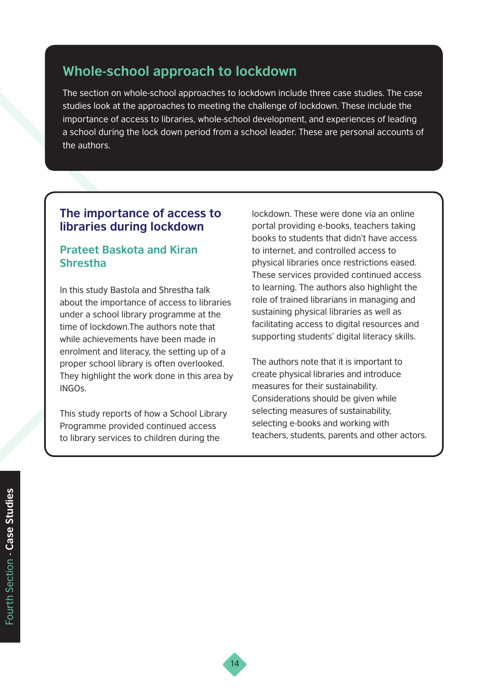### **Whole-school approach to lockdown**

The section on whole-school approaches to lockdown include three case studies. The case studies look at the approaches to meeting the challenge of lockdown. These include the importance of access to libraries, whole-school development, and experiences of leading a school during the lock down period from a school leader. These are personal accounts of the authors.

#### **The importance of access to libraries during lockdown**

#### **Prateet Baskota and Kiran Shrestha**

In this study Bastola and Shrestha talk about the importance of access to libraries under a school library programme at the time of lockdown.The authors note that while achievements have been made in enrolment and literacy, the setting up of a proper school library is often overlooked. They highlight the work done in this area by INGOs.

This study reports of how a School Library Programme provided continued access to library services to children during the

lockdown. These were done via an online portal providing e-books, teachers taking books to students that didn't have access to internet, and controlled access to physical libraries once restrictions eased. These services provided continued access to learning. The authors also highlight the role of trained librarians in managing and sustaining physical libraries as well as facilitating access to digital resources and supporting students' digital literacy skills.

The authors note that it is important to create physical libraries and introduce measures for their sustainability. Considerations should be given while selecting measures of sustainability, selecting e-books and working with teachers, students, parents and other actors.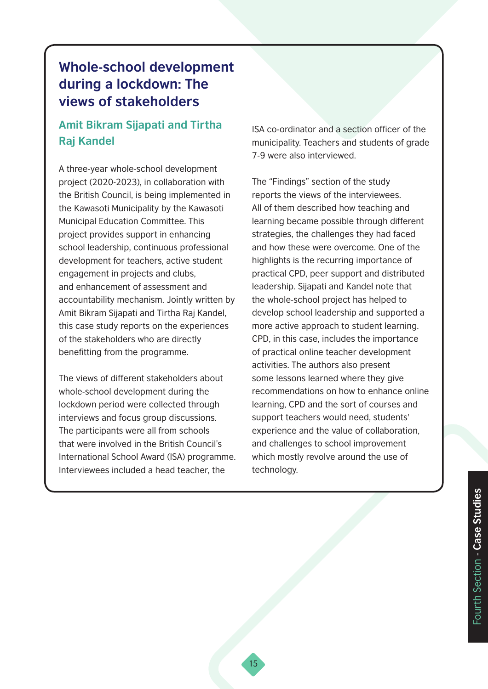### **Whole-school development during a lockdown: The views of stakeholders**

### **Amit Bikram Sijapati and Tirtha Raj Kandel**

A three-year whole-school development project (2020-2023), in collaboration with the British Council, is being implemented in the Kawasoti Municipality by the Kawasoti Municipal Education Committee. This project provides support in enhancing school leadership, continuous professional development for teachers, active student engagement in projects and clubs, and enhancement of assessment and accountability mechanism. Jointly written by Amit Bikram Sijapati and Tirtha Raj Kandel, this case study reports on the experiences of the stakeholders who are directly benefitting from the programme.

The views of different stakeholders about whole-school development during the lockdown period were collected through interviews and focus group discussions. The participants were all from schools that were involved in the British Council's International School Award (ISA) programme. Interviewees included a head teacher, the

ISA co-ordinator and a section officer of the municipality. Teachers and students of grade 7-9 were also interviewed.

The "Findings" section of the study reports the views of the interviewees. All of them described how teaching and learning became possible through different strategies, the challenges they had faced and how these were overcome. One of the highlights is the recurring importance of practical CPD, peer support and distributed leadership. Sijapati and Kandel note that the whole-school project has helped to develop school leadership and supported a more active approach to student learning. CPD, in this case, includes the importance of practical online teacher development activities. The authors also present some lessons learned where they give recommendations on how to enhance online learning, CPD and the sort of courses and support teachers would need, students' experience and the value of collaboration, and challenges to school improvement which mostly revolve around the use of technology.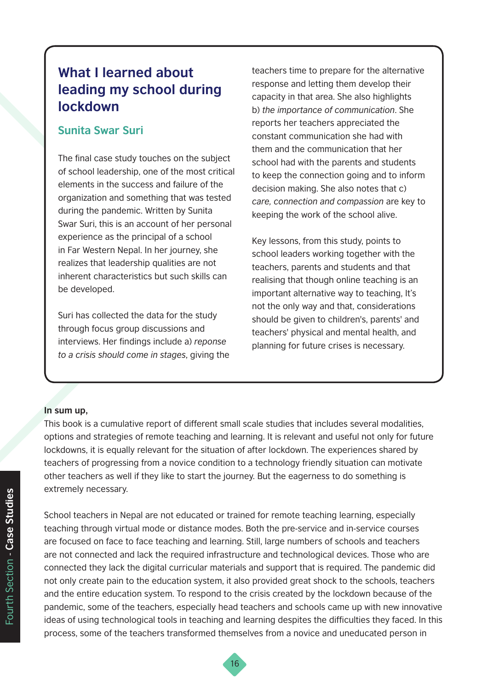### **What I learned about leading my school during lockdown**

#### **Sunita Swar Suri**

The final case study touches on the subject of school leadership, one of the most critical elements in the success and failure of the organization and something that was tested during the pandemic. Written by Sunita Swar Suri, this is an account of her personal experience as the principal of a school in Far Western Nepal. In her journey, she realizes that leadership qualities are not inherent characteristics but such skills can be developed.

Suri has collected the data for the study through focus group discussions and interviews. Her findings include a) *reponse to a crisis should come in stages*, giving the teachers time to prepare for the alternative response and letting them develop their capacity in that area. She also highlights b) *the importance of communication*. She reports her teachers appreciated the constant communication she had with them and the communication that her school had with the parents and students to keep the connection going and to inform decision making. She also notes that c) *care, connection and compassion* are key to keeping the work of the school alive.

Key lessons, from this study, points to school leaders working together with the teachers, parents and students and that realising that though online teaching is an important alternative way to teaching, It's not the only way and that, considerations should be given to children's, parents' and teachers' physical and mental health, and planning for future crises is necessary.

#### **In sum up,**

This book is a cumulative report of different small scale studies that includes several modalities, options and strategies of remote teaching and learning. It is relevant and useful not only for future lockdowns, it is equally relevant for the situation of after lockdown. The experiences shared by teachers of progressing from a novice condition to a technology friendly situation can motivate other teachers as well if they like to start the journey. But the eagerness to do something is extremely necessary.

School teachers in Nepal are not educated or trained for remote teaching learning, especially teaching through virtual mode or distance modes. Both the pre-service and in-service courses are focused on face to face teaching and learning. Still, large numbers of schools and teachers are not connected and lack the required infrastructure and technological devices. Those who are connected they lack the digital curricular materials and support that is required. The pandemic did not only create pain to the education system, it also provided great shock to the schools, teachers and the entire education system. To respond to the crisis created by the lockdown because of the pandemic, some of the teachers, especially head teachers and schools came up with new innovative ideas of using technological tools in teaching and learning despites the difficulties they faced. In this process, some of the teachers transformed themselves from a novice and uneducated person in